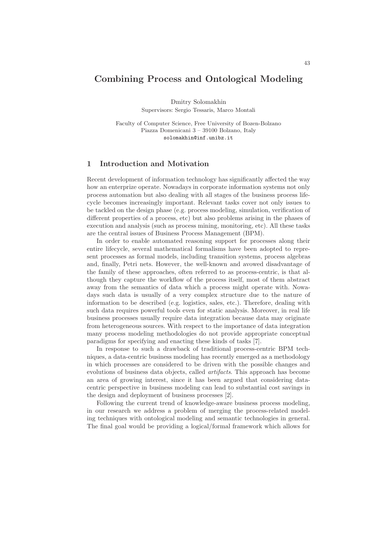# Combining Process and Ontological Modeling

Dmitry Solomakhin Supervisors: Sergio Tessaris, Marco Montali

Faculty of Computer Science, Free University of Bozen-Bolzano Piazza Domenicani 3 – 39100 Bolzano, Italy solomakhin@inf.unibz.it

### 1 Introduction and Motivation

Recent development of information technology has significantly affected the way how an enterprize operate. Nowadays in corporate information systems not only process automation but also dealing with all stages of the business process lifecycle becomes increasingly important. Relevant tasks cover not only issues to be tackled on the design phase (e.g. process modeling, simulation, verification of different properties of a process, etc) but also problems arising in the phases of execution and analysis (such as process mining, monitoring, etc). All these tasks are the central issues of Business Process Management (BPM).

In order to enable automated reasoning support for processes along their entire lifecycle, several mathematical formalisms have been adopted to represent processes as formal models, including transition systems, process algebras and, finally, Petri nets. However, the well-known and avowed disadvantage of the family of these approaches, often referred to as process-centric, is that although they capture the workflow of the process itself, most of them abstract away from the semantics of data which a process might operate with. Nowadays such data is usually of a very complex structure due to the nature of information to be described (e.g. logistics, sales, etc.). Therefore, dealing with such data requires powerful tools even for static analysis. Moreover, in real life business processes usually require data integration because data may originate from heterogeneous sources. With respect to the importance of data integration many process modeling methodologies do not provide appropriate conceptual paradigms for specifying and enacting these kinds of tasks [7].

In response to such a drawback of traditional process-centric BPM techniques, a data-centric business modeling has recently emerged as a methodology in which processes are considered to be driven with the possible changes and evolutions of business data objects, called artifacts. This approach has become an area of growing interest, since it has been argued that considering datacentric perspective in business modeling can lead to substantial cost savings in the design and deployment of business processes [2].

Following the current trend of knowledge-aware business process modeling, in our research we address a problem of merging the process-related modeling techniques with ontological modeling and semantic technologies in general. The final goal would be providing a logical/formal framework which allows for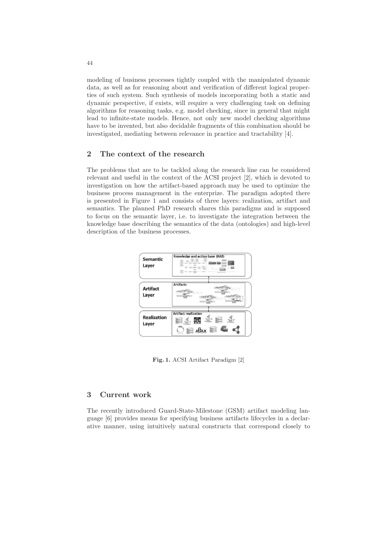modeling of business processes tightly coupled with the manipulated dynamic data, as well as for reasoning about and verification of different logical properties of such system. Such synthesis of models incorporating both a static and dynamic perspective, if exists, will require a very challenging task on defining algorithms for reasoning tasks, e.g. model checking, since in general that might lead to infinite-state models. Hence, not only new model checking algorithms have to be invented, but also decidable fragments of this combination should be investigated, mediating between relevance in practice and tractability [4].

# 2 The context of the research

The problems that are to be tackled along the research line can be considered relevant and useful in the context of the ACSI project [2], which is devoted to investigation on how the artifact-based approach may be used to optimize the business process management in the enterprize. The paradigm adopted there is presented in Figure 1 and consists of three layers: realization, artifact and semantics. The planned PhD research shares this paradigms and is supposed to focus on the semantic layer, i.e. to investigate the integration between the knowledge base describing the semantics of the data (ontologies) and high-level description of the business processes.



Fig. 1. ACSI Artifact Paradigm [2]

# 3 Current work

The recently introduced Guard-State-Milestone (GSM) artifact modeling language [6] provides means for specifying business artifacts lifecycles in a declarative manner, using intuitively natural constructs that correspond closely to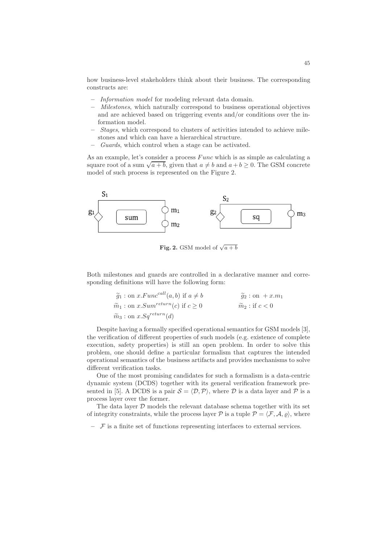how business-level stakeholders think about their business. The corresponding constructs are:

- Information model for modeling relevant data domain.
- Milestones, which naturally correspond to business operational objectives and are achieved based on triggering events and/or conditions over the information model.
- Stages, which correspond to clusters of activities intended to achieve milestones and which can have a hierarchical structure.
- Guards, which control when a stage can be activated.

As an example, let's consider a process  $Func$  which is as simple as calculating a square root of a sum  $\sqrt{a+b}$ , given that  $a \neq b$  and  $a+b \geq 0$ . The GSM concrete model of such process is represented on the Figure 2.



**Fig. 2.** GSM model of  $\sqrt{a+b}$ 

Both milestones and guards are controlled in a declarative manner and corresponding definitions will have the following form:

$$
\widetilde{g}_1: \text{on } x.Func^{call}(a, b) \text{ if } a \neq b \qquad \widetilde{g}_2: \text{on } +x.m_1
$$
  

$$
\widetilde{m}_1: \text{on } x. Sum^{return}(c) \text{ if } c \geq 0 \qquad \widetilde{m}_2: \text{if } c < 0
$$
  

$$
\widetilde{m}_3: \text{on } x. Sq^{return}(d)
$$

Despite having a formally specified operational semantics for GSM models [3], the verification of different properties of such models (e.g. existence of complete execution, safety properties) is still an open problem. In order to solve this problem, one should define a particular formalism that captures the intended operational semantics of the business artifacts and provides mechanisms to solve different verification tasks.

One of the most promising candidates for such a formalism is a data-centric dynamic system (DCDS) together with its general verification framework presented in [5]. A DCDS is a pair  $S = \langle \mathcal{D}, \mathcal{P} \rangle$ , where  $\mathcal D$  is a data layer and  $\mathcal P$  is a process layer over the former.

The data layer  $D$  models the relevant database schema together with its set of integrity constraints, while the process layer  $\mathcal P$  is a tuple  $\mathcal P = \langle \mathcal F, \mathcal A, \rho \rangle$ , where

 $\mathcal F$  is a finite set of functions representing interfaces to external services.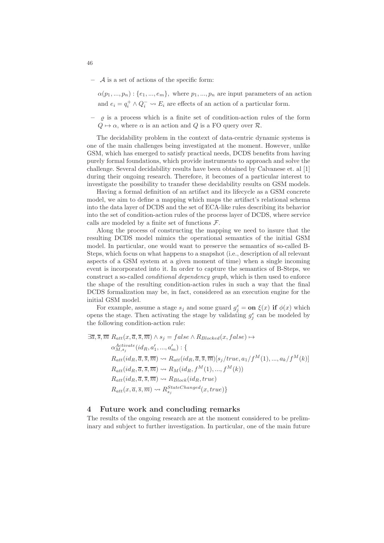$-$  A is a set of actions of the specific form:

 $\alpha(p_1, ..., p_n) : \{e_1, ..., e_m\}$ , where  $p_1, ..., p_n$  are input parameters of an action and  $e_i = q_i^+ \wedge Q_i^- \leadsto E_i$  are effects of an action of a particular form.

 $\rho$  is a process which is a finite set of condition-action rules of the form  $Q \mapsto \alpha$ , where  $\alpha$  is an action and  $Q$  is a FO query over  $\mathcal{R}$ .

The decidability problem in the context of data-centric dynamic systems is one of the main challenges being investigated at the moment. However, unlike GSM, which has emerged to satisfy practical needs, DCDS benefits from having purely formal foundations, which provide instruments to approach and solve the challenge. Several decidability results have been obtained by Calvanese et. al [1] during their ongoing research. Therefore, it becomes of a particular interest to investigate the possibility to transfer these decidability results on GSM models.

Having a formal definition of an artifact and its lifecycle as a GSM concrete model, we aim to define a mapping which maps the artifact's relational schema into the data layer of DCDS and the set of ECA-like rules describing its behavior into the set of condition-action rules of the process layer of DCDS, where service calls are modeled by a finite set of functions  $\mathcal{F}$ .

Along the process of constructing the mapping we need to insure that the resulting DCDS model mimics the operational semantics of the initial GSM model. In particular, one would want to preserve the semantics of so-called B-Steps, which focus on what happens to a snapshot (i.e., description of all relevant aspects of a GSM system at a given moment of time) when a single incoming event is incorporated into it. In order to capture the semantics of B-Steps, we construct a so-called conditional dependency graph, which is then used to enforce the shape of the resulting condition-action rules in such a way that the final DCDS formalization may be, in fact, considered as an execution engine for the initial GSM model.

For example, assume a stage  $s_j$  and some guard  $g_j^e = \text{on } \xi(x)$  if  $\phi(x)$  which opens the stage. Then activating the stage by validating  $g_j^e$  can be modeled by the following condition-action rule:

$$
\exists \overline{a}, \overline{s}, \overline{m} \ R_{att}(x, \overline{a}, \overline{s}, \overline{m}) \land s_j = false \land R_{Blocked}(x, false) \mapsto
$$
  
\n
$$
\alpha_{M, s_j}^{Active}(id_R, a'_1, ..., a'_m) : \{
$$
  
\n
$$
R_{att}(id_R, \overline{a}, \overline{s}, \overline{m}) \leadsto R_{att}(id_R, \overline{a}, \overline{s}, \overline{m})[s_j / true, a_1 / f^M(1), ..., a_k / f^M(k)]
$$
  
\n
$$
R_{att}(id_R, \overline{a}, \overline{s}, \overline{m}) \leadsto R_M(id_R, f^M(1), ..., f^M(k))
$$
  
\n
$$
R_{att}(id_R, \overline{a}, \overline{s}, \overline{m}) \leadsto R_{Block}(id_R, true)
$$
  
\n
$$
R_{att}(x, \overline{a}, \overline{s}, \overline{m}) \leadsto R_{s_j}^{StateChanged}(x, true)
$$

### 4 Future work and concluding remarks

The results of the ongoing research are at the moment considered to be preliminary and subject to further investigation. In particular, one of the main future

46